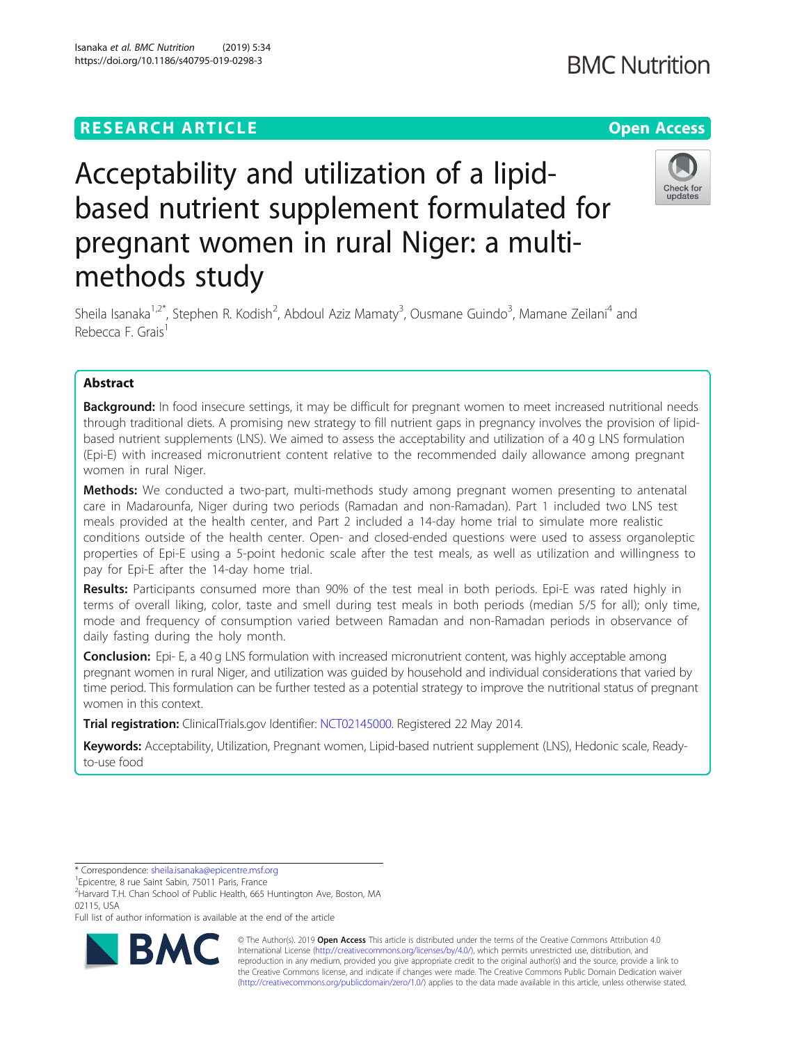# **RESEARCH ARTICLE Example 2018 12:30 THE Open Access**

# Acceptability and utilization of a lipidbased nutrient supplement formulated for pregnant women in rural Niger: a multimethods study

Sheila Isanaka<sup>1,2\*</sup>, Stephen R. Kodish<sup>2</sup>, Abdoul Aziz Mamaty<sup>3</sup>, Ousmane Guindo<sup>3</sup>, Mamane Zeilani<sup>4</sup> and Rebecca F. Grais<sup>1</sup>

# Abstract

**Background:** In food insecure settings, it may be difficult for pregnant women to meet increased nutritional needs through traditional diets. A promising new strategy to fill nutrient gaps in pregnancy involves the provision of lipidbased nutrient supplements (LNS). We aimed to assess the acceptability and utilization of a 40 g LNS formulation (Epi-E) with increased micronutrient content relative to the recommended daily allowance among pregnant women in rural Niger.

Methods: We conducted a two-part, multi-methods study among pregnant women presenting to antenatal care in Madarounfa, Niger during two periods (Ramadan and non-Ramadan). Part 1 included two LNS test meals provided at the health center, and Part 2 included a 14-day home trial to simulate more realistic conditions outside of the health center. Open- and closed-ended questions were used to assess organoleptic properties of Epi-E using a 5-point hedonic scale after the test meals, as well as utilization and willingness to pay for Epi-E after the 14-day home trial.

Results: Participants consumed more than 90% of the test meal in both periods. Epi-E was rated highly in terms of overall liking, color, taste and smell during test meals in both periods (median 5/5 for all); only time, mode and frequency of consumption varied between Ramadan and non-Ramadan periods in observance of daily fasting during the holy month.

Conclusion: Epi- E, a 40 g LNS formulation with increased micronutrient content, was highly acceptable among pregnant women in rural Niger, and utilization was guided by household and individual considerations that varied by time period. This formulation can be further tested as a potential strategy to improve the nutritional status of pregnant women in this context.

Trial registration: ClinicalTrials.gov Identifier: [NCT02145000.](https://clinicaltrials.gov/ct2/show/NCT02145000) Registered 22 May 2014.

Keywords: Acceptability, Utilization, Pregnant women, Lipid-based nutrient supplement (LNS), Hedonic scale, Readyto-use food



© The Author(s). 2019 **Open Access** This article is distributed under the terms of the Creative Commons Attribution 4.0 International License [\(http://creativecommons.org/licenses/by/4.0/](http://creativecommons.org/licenses/by/4.0/)), which permits unrestricted use, distribution, and reproduction in any medium, provided you give appropriate credit to the original author(s) and the source, provide a link to the Creative Commons license, and indicate if changes were made. The Creative Commons Public Domain Dedication waiver [\(http://creativecommons.org/publicdomain/zero/1.0/](http://creativecommons.org/publicdomain/zero/1.0/)) applies to the data made available in this article, unless otherwise stated.



undates

<sup>\*</sup> Correspondence: [sheila.isanaka@epicentre.msf.org](mailto:sheila.isanaka@epicentre.msf.org) <sup>1</sup>

<sup>&</sup>lt;sup>1</sup>Epicentre, 8 rue Saint Sabin, 75011 Paris, France

<sup>&</sup>lt;sup>2</sup> Harvard T.H. Chan School of Public Health, 665 Huntington Ave, Boston, MA 02115, USA

Full list of author information is available at the end of the article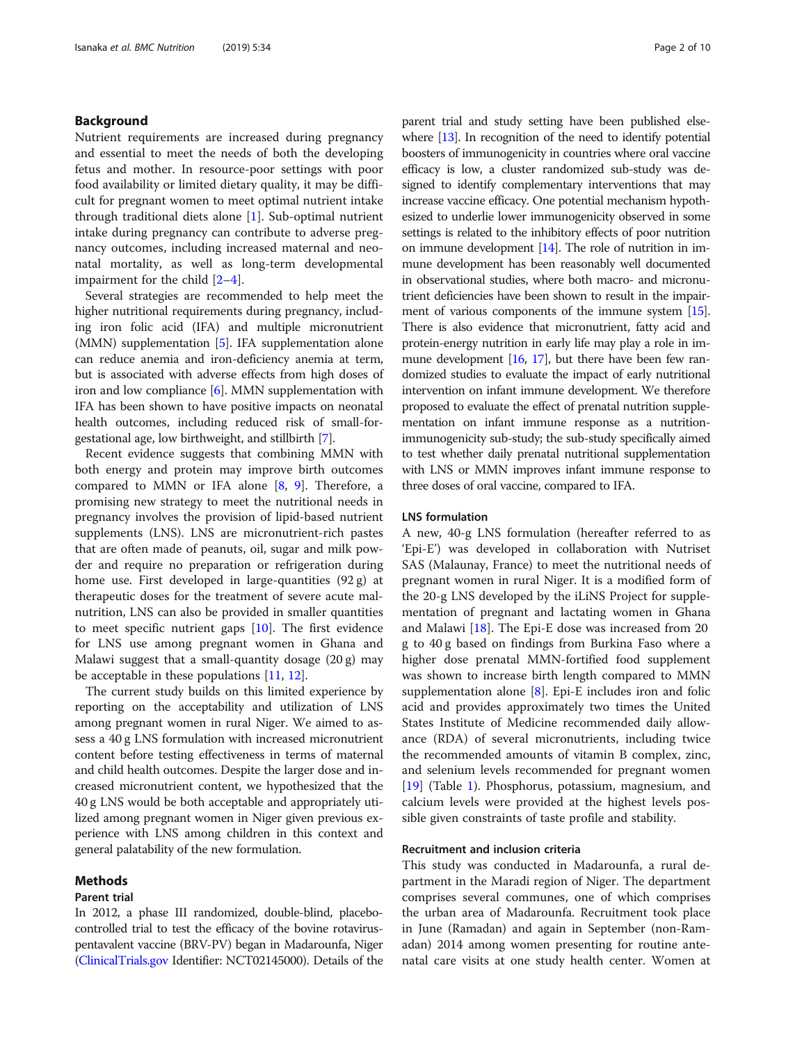# Background

Nutrient requirements are increased during pregnancy and essential to meet the needs of both the developing fetus and mother. In resource-poor settings with poor food availability or limited dietary quality, it may be difficult for pregnant women to meet optimal nutrient intake through traditional diets alone [[1\]](#page-8-0). Sub-optimal nutrient intake during pregnancy can contribute to adverse pregnancy outcomes, including increased maternal and neonatal mortality, as well as long-term developmental impairment for the child [\[2](#page-8-0)–[4\]](#page-8-0).

Several strategies are recommended to help meet the higher nutritional requirements during pregnancy, including iron folic acid (IFA) and multiple micronutrient (MMN) supplementation [\[5\]](#page-8-0). IFA supplementation alone can reduce anemia and iron-deficiency anemia at term, but is associated with adverse effects from high doses of iron and low compliance [\[6](#page-8-0)]. MMN supplementation with IFA has been shown to have positive impacts on neonatal health outcomes, including reduced risk of small-forgestational age, low birthweight, and stillbirth [\[7\]](#page-8-0).

Recent evidence suggests that combining MMN with both energy and protein may improve birth outcomes compared to MMN or IFA alone  $[8, 9]$  $[8, 9]$  $[8, 9]$  $[8, 9]$  $[8, 9]$ . Therefore, a promising new strategy to meet the nutritional needs in pregnancy involves the provision of lipid-based nutrient supplements (LNS). LNS are micronutrient-rich pastes that are often made of peanuts, oil, sugar and milk powder and require no preparation or refrigeration during home use. First developed in large-quantities (92 g) at therapeutic doses for the treatment of severe acute malnutrition, LNS can also be provided in smaller quantities to meet specific nutrient gaps  $[10]$  $[10]$  $[10]$ . The first evidence for LNS use among pregnant women in Ghana and Malawi suggest that a small-quantity dosage (20 g) may be acceptable in these populations [\[11](#page-8-0), [12](#page-8-0)].

The current study builds on this limited experience by reporting on the acceptability and utilization of LNS among pregnant women in rural Niger. We aimed to assess a 40 g LNS formulation with increased micronutrient content before testing effectiveness in terms of maternal and child health outcomes. Despite the larger dose and increased micronutrient content, we hypothesized that the 40 g LNS would be both acceptable and appropriately utilized among pregnant women in Niger given previous experience with LNS among children in this context and general palatability of the new formulation.

# Methods

# Parent trial

In 2012, a phase III randomized, double-blind, placebocontrolled trial to test the efficacy of the bovine rotaviruspentavalent vaccine (BRV-PV) began in Madarounfa, Niger ([ClinicalTrials.gov](http://clinicaltrials.gov) Identifier: NCT02145000). Details of the parent trial and study setting have been published elsewhere [[13](#page-8-0)]. In recognition of the need to identify potential boosters of immunogenicity in countries where oral vaccine efficacy is low, a cluster randomized sub-study was designed to identify complementary interventions that may increase vaccine efficacy. One potential mechanism hypothesized to underlie lower immunogenicity observed in some settings is related to the inhibitory effects of poor nutrition on immune development [\[14](#page-8-0)]. The role of nutrition in immune development has been reasonably well documented in observational studies, where both macro- and micronutrient deficiencies have been shown to result in the impairment of various components of the immune system [\[15](#page-8-0)]. There is also evidence that micronutrient, fatty acid and protein-energy nutrition in early life may play a role in im-mune development [\[16,](#page-8-0) [17](#page-8-0)], but there have been few randomized studies to evaluate the impact of early nutritional intervention on infant immune development. We therefore proposed to evaluate the effect of prenatal nutrition supplementation on infant immune response as a nutritionimmunogenicity sub-study; the sub-study specifically aimed to test whether daily prenatal nutritional supplementation with LNS or MMN improves infant immune response to three doses of oral vaccine, compared to IFA.

# LNS formulation

A new, 40-g LNS formulation (hereafter referred to as 'Epi-E') was developed in collaboration with Nutriset SAS (Malaunay, France) to meet the nutritional needs of pregnant women in rural Niger. It is a modified form of the 20-g LNS developed by the iLiNS Project for supplementation of pregnant and lactating women in Ghana and Malawi [\[18\]](#page-8-0). The Epi-E dose was increased from 20 g to 40 g based on findings from Burkina Faso where a higher dose prenatal MMN-fortified food supplement was shown to increase birth length compared to MMN supplementation alone  $[8]$  $[8]$ . Epi-E includes iron and folic acid and provides approximately two times the United States Institute of Medicine recommended daily allowance (RDA) of several micronutrients, including twice the recommended amounts of vitamin B complex, zinc, and selenium levels recommended for pregnant women [[19\]](#page-8-0) (Table [1](#page-2-0)). Phosphorus, potassium, magnesium, and calcium levels were provided at the highest levels possible given constraints of taste profile and stability.

# Recruitment and inclusion criteria

This study was conducted in Madarounfa, a rural department in the Maradi region of Niger. The department comprises several communes, one of which comprises the urban area of Madarounfa. Recruitment took place in June (Ramadan) and again in September (non-Ramadan) 2014 among women presenting for routine antenatal care visits at one study health center. Women at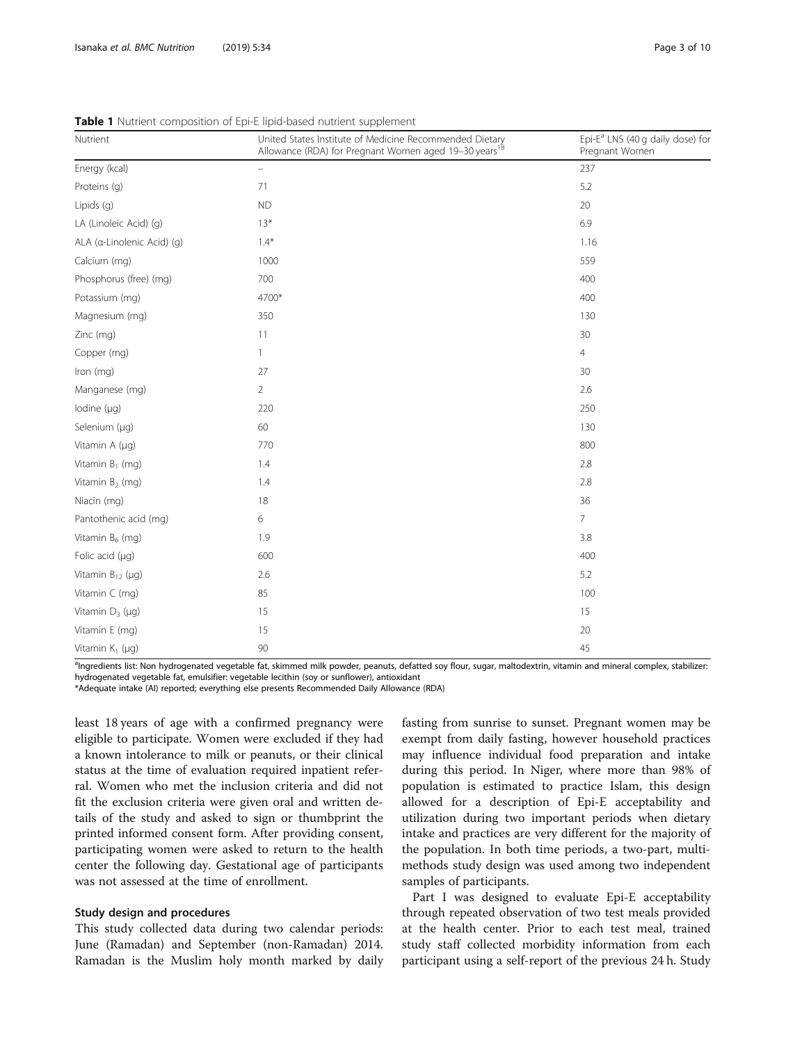| United States Institute of Medicine Recommended Dietary<br>Nutrient<br>Allowance (RDA) for Pregnant Women aged 19-30 years <sup>18</sup> |                | Epi-E <sup>a</sup> LNS (40 g daily dose) for<br>Pregnant Women |  |
|------------------------------------------------------------------------------------------------------------------------------------------|----------------|----------------------------------------------------------------|--|
| Energy (kcal)                                                                                                                            |                | 237                                                            |  |
| Proteins (q)                                                                                                                             | 71             | 5.2                                                            |  |
| Lipids (q)                                                                                                                               | <b>ND</b>      | 20                                                             |  |
| LA (Linoleic Acid) (g)                                                                                                                   | $13*$          | 6.9                                                            |  |
| ALA (α-Linolenic Acid) (g)                                                                                                               | $1.4*$         | 1.16                                                           |  |
| Calcium (mg)                                                                                                                             | 1000           | 559                                                            |  |
| Phosphorus (free) (mg)                                                                                                                   | 700            | 400                                                            |  |
| Potassium (mg)                                                                                                                           | 4700*          | 400                                                            |  |
| Magnesium (mg)                                                                                                                           | 350            | 130                                                            |  |
| Zinc (mg)                                                                                                                                | 11             | 30                                                             |  |
| Copper (mg)                                                                                                                              | 1              | $\overline{4}$                                                 |  |
| Iron (mg)                                                                                                                                | 27             | 30                                                             |  |
| Manganese (mg)                                                                                                                           | $\overline{2}$ | 2.6                                                            |  |
| lodine (µg)                                                                                                                              | 220            | 250                                                            |  |
| Selenium (µg)                                                                                                                            | 60             | 130                                                            |  |
| Vitamin A (µg)                                                                                                                           | 770            | 800                                                            |  |
| Vitamin $B_1$ (mg)                                                                                                                       | 1.4            | 2.8                                                            |  |
| Vitamin $B_2$ (mg)                                                                                                                       | 1.4            | 2.8                                                            |  |
| Niacin (mg)                                                                                                                              | 18             | 36                                                             |  |
| Pantothenic acid (mg)                                                                                                                    | 6              | $\overline{7}$                                                 |  |
| Vitamin $B_6$ (mg)                                                                                                                       | 1.9            | 3.8                                                            |  |
| Folic acid (µg)                                                                                                                          | 600            | 400                                                            |  |
| Vitamin $B_{12}$ (µg)                                                                                                                    | 2.6            | 5.2                                                            |  |
| Vitamin C (mg)                                                                                                                           | 85             | 100                                                            |  |
| Vitamin $D_3$ (µg)                                                                                                                       | 15             | 15                                                             |  |
| Vitamin E (mg)                                                                                                                           | 15             | 20                                                             |  |
| Vitamin $K_1$ ( $\mu$ g)                                                                                                                 | 90             | 45                                                             |  |

<span id="page-2-0"></span>Table 1 Nutrient composition of Epi-E lipid-based nutrient supplement

<sup>a</sup>lngredients list: Non hydrogenated vegetable fat, skimmed milk powder, peanuts, defatted soy flour, sugar, maltodextrin, vitamin and mineral complex, stabilizer: hydrogenated vegetable fat, emulsifier: vegetable lecithin (soy or sunflower), antioxidant

\*Adequate intake (AI) reported; everything else presents Recommended Daily Allowance (RDA)

least 18 years of age with a confirmed pregnancy were eligible to participate. Women were excluded if they had a known intolerance to milk or peanuts, or their clinical status at the time of evaluation required inpatient referral. Women who met the inclusion criteria and did not fit the exclusion criteria were given oral and written details of the study and asked to sign or thumbprint the printed informed consent form. After providing consent, participating women were asked to return to the health center the following day. Gestational age of participants was not assessed at the time of enrollment.

# Study design and procedures

This study collected data during two calendar periods: June (Ramadan) and September (non-Ramadan) 2014. Ramadan is the Muslim holy month marked by daily fasting from sunrise to sunset. Pregnant women may be exempt from daily fasting, however household practices may influence individual food preparation and intake during this period. In Niger, where more than 98% of population is estimated to practice Islam, this design allowed for a description of Epi-E acceptability and utilization during two important periods when dietary intake and practices are very different for the majority of the population. In both time periods, a two-part, multimethods study design was used among two independent samples of participants.

Part I was designed to evaluate Epi-E acceptability through repeated observation of two test meals provided at the health center. Prior to each test meal, trained study staff collected morbidity information from each participant using a self-report of the previous 24 h. Study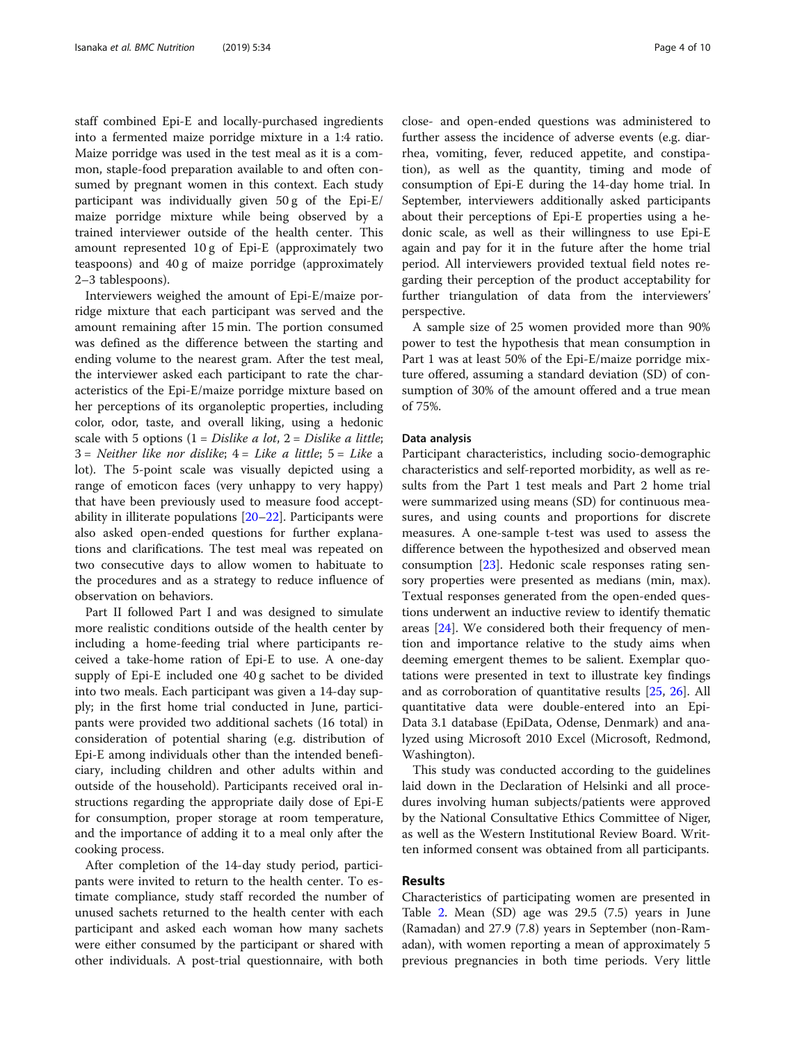staff combined Epi-E and locally-purchased ingredients into a fermented maize porridge mixture in a 1:4 ratio. Maize porridge was used in the test meal as it is a common, staple-food preparation available to and often consumed by pregnant women in this context. Each study participant was individually given 50 g of the Epi-E/ maize porridge mixture while being observed by a trained interviewer outside of the health center. This amount represented 10 g of Epi-E (approximately two teaspoons) and 40 g of maize porridge (approximately 2–3 tablespoons).

Interviewers weighed the amount of Epi-E/maize porridge mixture that each participant was served and the amount remaining after 15 min. The portion consumed was defined as the difference between the starting and ending volume to the nearest gram. After the test meal, the interviewer asked each participant to rate the characteristics of the Epi-E/maize porridge mixture based on her perceptions of its organoleptic properties, including color, odor, taste, and overall liking, using a hedonic scale with 5 options  $(1 = Distike \ a \ lot, 2 = Distike \ a \ little;$  $3$  = Neither like nor dislike;  $4$  = Like a little;  $5$  = Like a lot). The 5-point scale was visually depicted using a range of emoticon faces (very unhappy to very happy) that have been previously used to measure food acceptability in illiterate populations [[20](#page-8-0)–[22\]](#page-8-0). Participants were also asked open-ended questions for further explanations and clarifications. The test meal was repeated on two consecutive days to allow women to habituate to the procedures and as a strategy to reduce influence of observation on behaviors.

Part II followed Part I and was designed to simulate more realistic conditions outside of the health center by including a home-feeding trial where participants received a take-home ration of Epi-E to use. A one-day supply of Epi-E included one 40 g sachet to be divided into two meals. Each participant was given a 14-day supply; in the first home trial conducted in June, participants were provided two additional sachets (16 total) in consideration of potential sharing (e.g. distribution of Epi-E among individuals other than the intended beneficiary, including children and other adults within and outside of the household). Participants received oral instructions regarding the appropriate daily dose of Epi-E for consumption, proper storage at room temperature, and the importance of adding it to a meal only after the cooking process.

After completion of the 14-day study period, participants were invited to return to the health center. To estimate compliance, study staff recorded the number of unused sachets returned to the health center with each participant and asked each woman how many sachets were either consumed by the participant or shared with other individuals. A post-trial questionnaire, with both

close- and open-ended questions was administered to further assess the incidence of adverse events (e.g. diarrhea, vomiting, fever, reduced appetite, and constipation), as well as the quantity, timing and mode of consumption of Epi-E during the 14-day home trial. In September, interviewers additionally asked participants about their perceptions of Epi-E properties using a hedonic scale, as well as their willingness to use Epi-E again and pay for it in the future after the home trial period. All interviewers provided textual field notes regarding their perception of the product acceptability for further triangulation of data from the interviewers' perspective.

A sample size of 25 women provided more than 90% power to test the hypothesis that mean consumption in Part 1 was at least 50% of the Epi-E/maize porridge mixture offered, assuming a standard deviation (SD) of consumption of 30% of the amount offered and a true mean of 75%.

#### Data analysis

Participant characteristics, including socio-demographic characteristics and self-reported morbidity, as well as results from the Part 1 test meals and Part 2 home trial were summarized using means (SD) for continuous measures, and using counts and proportions for discrete measures. A one-sample t-test was used to assess the difference between the hypothesized and observed mean consumption [\[23\]](#page-8-0). Hedonic scale responses rating sensory properties were presented as medians (min, max). Textual responses generated from the open-ended questions underwent an inductive review to identify thematic areas [\[24](#page-8-0)]. We considered both their frequency of mention and importance relative to the study aims when deeming emergent themes to be salient. Exemplar quotations were presented in text to illustrate key findings and as corroboration of quantitative results [\[25](#page-8-0), [26\]](#page-8-0). All quantitative data were double-entered into an Epi-Data 3.1 database (EpiData, Odense, Denmark) and analyzed using Microsoft 2010 Excel (Microsoft, Redmond, Washington).

This study was conducted according to the guidelines laid down in the Declaration of Helsinki and all procedures involving human subjects/patients were approved by the National Consultative Ethics Committee of Niger, as well as the Western Institutional Review Board. Written informed consent was obtained from all participants.

# Results

Characteristics of participating women are presented in Table [2.](#page-4-0) Mean (SD) age was 29.5 (7.5) years in June (Ramadan) and 27.9 (7.8) years in September (non-Ramadan), with women reporting a mean of approximately 5 previous pregnancies in both time periods. Very little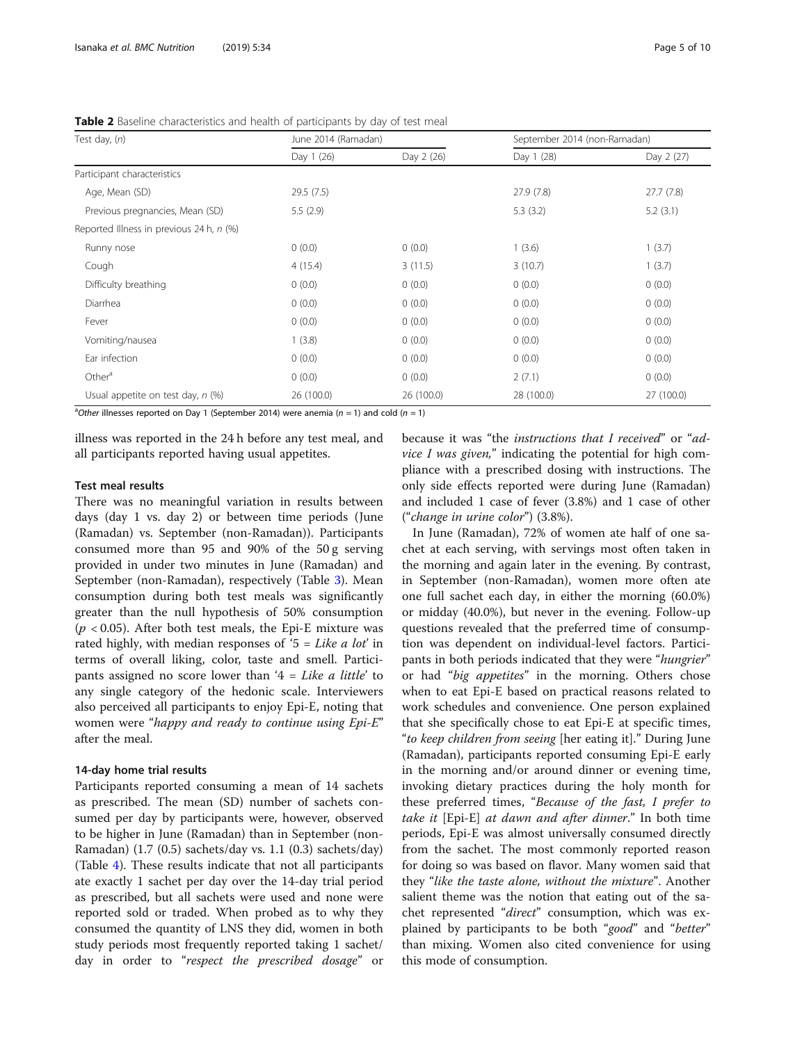<span id="page-4-0"></span>Table 2 Baseline characteristics and health of participants by day of test meal

| Test day, $(n)$                          | June 2014 (Ramadan) |            |            | September 2014 (non-Ramadan) |  |
|------------------------------------------|---------------------|------------|------------|------------------------------|--|
|                                          | Day 1 (26)          | Day 2 (26) | Day 1 (28) | Day 2 (27)                   |  |
| Participant characteristics              |                     |            |            |                              |  |
| Age, Mean (SD)                           | 29.5(7.5)           |            | 27.9(7.8)  | 27.7(7.8)                    |  |
| Previous pregnancies, Mean (SD)          | 5.5(2.9)            |            | 5.3(3.2)   | 5.2(3.1)                     |  |
| Reported Illness in previous 24 h, n (%) |                     |            |            |                              |  |
| Runny nose                               | 0(0.0)              | 0(0.0)     | 1(3.6)     | 1(3.7)                       |  |
| Cough                                    | 4(15.4)             | 3(11.5)    | 3(10.7)    | 1(3.7)                       |  |
| Difficulty breathing                     | 0(0.0)              | 0(0.0)     | 0(0.0)     | 0(0.0)                       |  |
| Diarrhea                                 | 0(0.0)              | 0(0.0)     | 0(0.0)     | 0(0.0)                       |  |
| Fever                                    | 0(0.0)              | 0(0.0)     | 0(0.0)     | 0(0.0)                       |  |
| Vomiting/nausea                          | 1(3.8)              | 0(0.0)     | 0(0.0)     | 0(0.0)                       |  |
| Ear infection                            | 0(0.0)              | 0(0.0)     | 0(0.0)     | 0(0.0)                       |  |
| Other <sup>a</sup>                       | 0(0.0)              | 0(0.0)     | 2(7.1)     | 0(0.0)                       |  |
| Usual appetite on test day, $n$ (%)      | 26 (100.0)          | 26 (100.0) | 28 (100.0) | 27 (100.0)                   |  |

<sup>a</sup>Other illnesses reported on Day 1 (September 2014) were anemia (n = 1) and cold (n = 1)

illness was reported in the 24 h before any test meal, and all participants reported having usual appetites.

## Test meal results

There was no meaningful variation in results between days (day 1 vs. day 2) or between time periods (June (Ramadan) vs. September (non-Ramadan)). Participants consumed more than 95 and 90% of the 50 g serving provided in under two minutes in June (Ramadan) and September (non-Ramadan), respectively (Table [3](#page-5-0)). Mean consumption during both test meals was significantly greater than the null hypothesis of 50% consumption  $(p < 0.05)$ . After both test meals, the Epi-E mixture was rated highly, with median responses of '5 = Like a lot' in terms of overall liking, color, taste and smell. Participants assigned no score lower than '4 = Like a little' to any single category of the hedonic scale. Interviewers also perceived all participants to enjoy Epi-E, noting that women were "happy and ready to continue using Epi-E" after the meal.

# 14-day home trial results

Participants reported consuming a mean of 14 sachets as prescribed. The mean (SD) number of sachets consumed per day by participants were, however, observed to be higher in June (Ramadan) than in September (non-Ramadan) (1.7 (0.5) sachets/day vs. 1.1 (0.3) sachets/day) (Table [4](#page-5-0)). These results indicate that not all participants ate exactly 1 sachet per day over the 14-day trial period as prescribed, but all sachets were used and none were reported sold or traded. When probed as to why they consumed the quantity of LNS they did, women in both study periods most frequently reported taking 1 sachet/ day in order to "respect the prescribed dosage" or

because it was "the instructions that I received" or "advice  $I$  was given," indicating the potential for high compliance with a prescribed dosing with instructions. The only side effects reported were during June (Ramadan) and included 1 case of fever (3.8%) and 1 case of other ("change in urine color") (3.8%).

In June (Ramadan), 72% of women ate half of one sachet at each serving, with servings most often taken in the morning and again later in the evening. By contrast, in September (non-Ramadan), women more often ate one full sachet each day, in either the morning (60.0%) or midday (40.0%), but never in the evening. Follow-up questions revealed that the preferred time of consumption was dependent on individual-level factors. Participants in both periods indicated that they were "hungrier" or had "big appetites" in the morning. Others chose when to eat Epi-E based on practical reasons related to work schedules and convenience. One person explained that she specifically chose to eat Epi-E at specific times, "to keep children from seeing [her eating it]." During June (Ramadan), participants reported consuming Epi-E early in the morning and/or around dinner or evening time, invoking dietary practices during the holy month for these preferred times, "Because of the fast, I prefer to take it [Epi-E] at dawn and after dinner." In both time periods, Epi-E was almost universally consumed directly from the sachet. The most commonly reported reason for doing so was based on flavor. Many women said that they "like the taste alone, without the mixture". Another salient theme was the notion that eating out of the sachet represented "direct" consumption, which was explained by participants to be both "good" and "better" than mixing. Women also cited convenience for using this mode of consumption.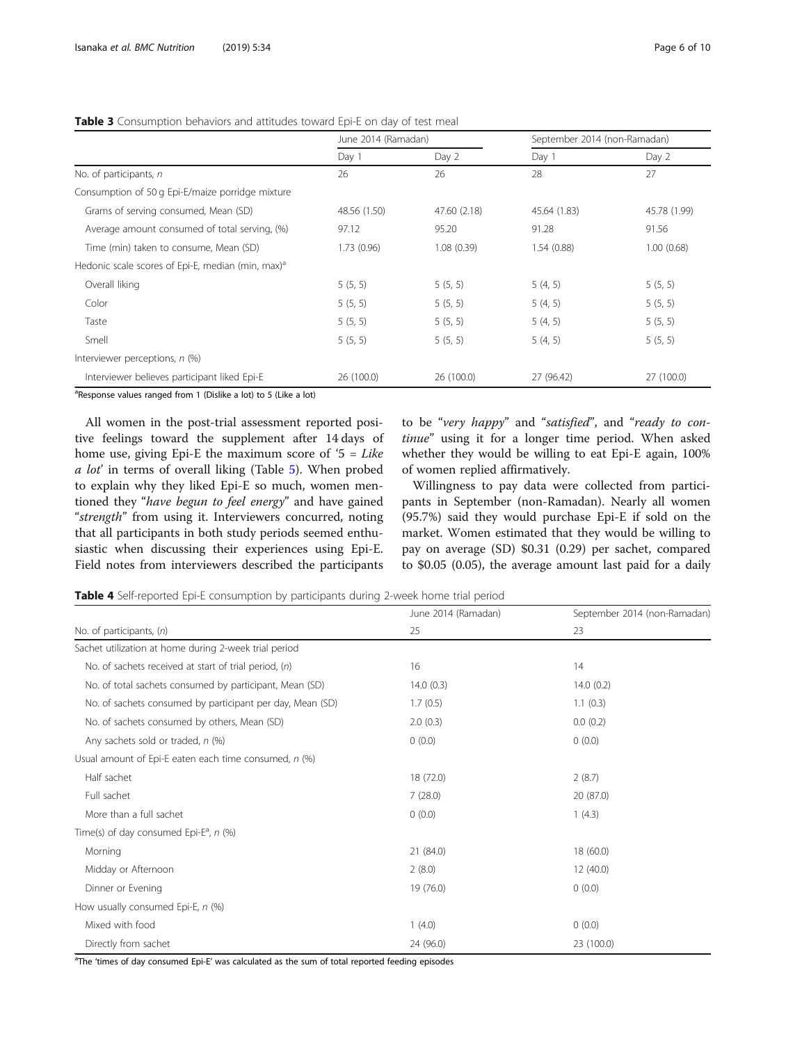|                                                               | June 2014 (Ramadan) |              | September 2014 (non-Ramadan) |              |
|---------------------------------------------------------------|---------------------|--------------|------------------------------|--------------|
|                                                               | Day 1               | Day 2        | Day 1                        | Day 2        |
| No. of participants, n                                        | 26                  | 26           | 28                           | 27           |
| Consumption of 50 g Epi-E/maize porridge mixture              |                     |              |                              |              |
| Grams of serving consumed, Mean (SD)                          | 48.56 (1.50)        | 47.60 (2.18) | 45.64 (1.83)                 | 45.78 (1.99) |
| Average amount consumed of total serving, (%)                 | 97.12               | 95.20        | 91.28                        | 91.56        |
| Time (min) taken to consume, Mean (SD)                        | 1.73(0.96)          | 1.08(0.39)   | 1.54(0.88)                   | 1.00(0.68)   |
| Hedonic scale scores of Epi-E, median (min, max) <sup>a</sup> |                     |              |                              |              |
| Overall liking                                                | 5(5, 5)             | 5(5, 5)      | 5(4, 5)                      | 5(5, 5)      |
| Color                                                         | 5(5, 5)             | 5(5, 5)      | 5(4, 5)                      | 5(5, 5)      |
| Taste                                                         | 5(5, 5)             | 5(5, 5)      | 5(4, 5)                      | 5(5, 5)      |
| Smell                                                         | 5(5, 5)             | 5(5, 5)      | 5(4, 5)                      | 5(5, 5)      |
| Interviewer perceptions, n (%)                                |                     |              |                              |              |
| Interviewer believes participant liked Epi-E                  | 26 (100.0)          | 26 (100.0)   | 27 (96.42)                   | 27 (100.0)   |

# <span id="page-5-0"></span>Table 3 Consumption behaviors and attitudes toward Epi-E on day of test meal

<sup>a</sup>Response values ranged from 1 (Dislike a lot) to 5 (Like a lot)

All women in the post-trial assessment reported positive feelings toward the supplement after 14 days of home use, giving Epi-E the maximum score of  $5 = Like$  $a$  lot' in terms of overall liking (Table [5\)](#page-6-0). When probed to explain why they liked Epi-E so much, women mentioned they "have begun to feel energy" and have gained "strength" from using it. Interviewers concurred, noting that all participants in both study periods seemed enthusiastic when discussing their experiences using Epi-E. Field notes from interviewers described the participants

to be "very happy" and "satisfied", and "ready to continue" using it for a longer time period. When asked whether they would be willing to eat Epi-E again, 100% of women replied affirmatively.

Willingness to pay data were collected from participants in September (non-Ramadan). Nearly all women (95.7%) said they would purchase Epi-E if sold on the market. Women estimated that they would be willing to pay on average (SD) \$0.31 (0.29) per sachet, compared to \$0.05 (0.05), the average amount last paid for a daily

Table 4 Self-reported Epi-E consumption by participants during 2-week home trial period

|                                                           | June 2014 (Ramadan) | September 2014 (non-Ramadan) |  |
|-----------------------------------------------------------|---------------------|------------------------------|--|
| No. of participants, $(n)$                                | 25                  | 23                           |  |
| Sachet utilization at home during 2-week trial period     |                     |                              |  |
| No. of sachets received at start of trial period, $(n)$   | 16                  | 14                           |  |
| No. of total sachets consumed by participant, Mean (SD)   | 14.0(0.3)           | 14.0(0.2)                    |  |
| No. of sachets consumed by participant per day, Mean (SD) | 1.7(0.5)            | 1.1(0.3)                     |  |
| No. of sachets consumed by others, Mean (SD)              | 2.0(0.3)            | 0.0(0.2)                     |  |
| Any sachets sold or traded, n (%)                         | 0(0.0)              | 0(0.0)                       |  |
| Usual amount of Epi-E eaten each time consumed, n (%)     |                     |                              |  |
| Half sachet                                               | 18 (72.0)           | 2(8.7)                       |  |
| Full sachet                                               | 7(28.0)             | 20 (87.0)                    |  |
| More than a full sachet                                   | 0(0.0)              | 1(4.3)                       |  |
| Time(s) of day consumed Epi-E <sup>a</sup> , $n$ (%)      |                     |                              |  |
| Morning                                                   | 21 (84.0)           | 18 (60.0)                    |  |
| Midday or Afternoon                                       | 2(8.0)              | 12(40.0)                     |  |
| Dinner or Evening                                         | 19 (76.0)           | 0(0.0)                       |  |
| How usually consumed Epi-E, $n$ (%)                       |                     |                              |  |
| Mixed with food                                           | 1(4.0)              | 0(0.0)                       |  |
| Directly from sachet                                      | 24 (96.0)           | 23 (100.0)                   |  |

<sup>a</sup>The 'times of day consumed Epi-E' was calculated as the sum of total reported feeding episodes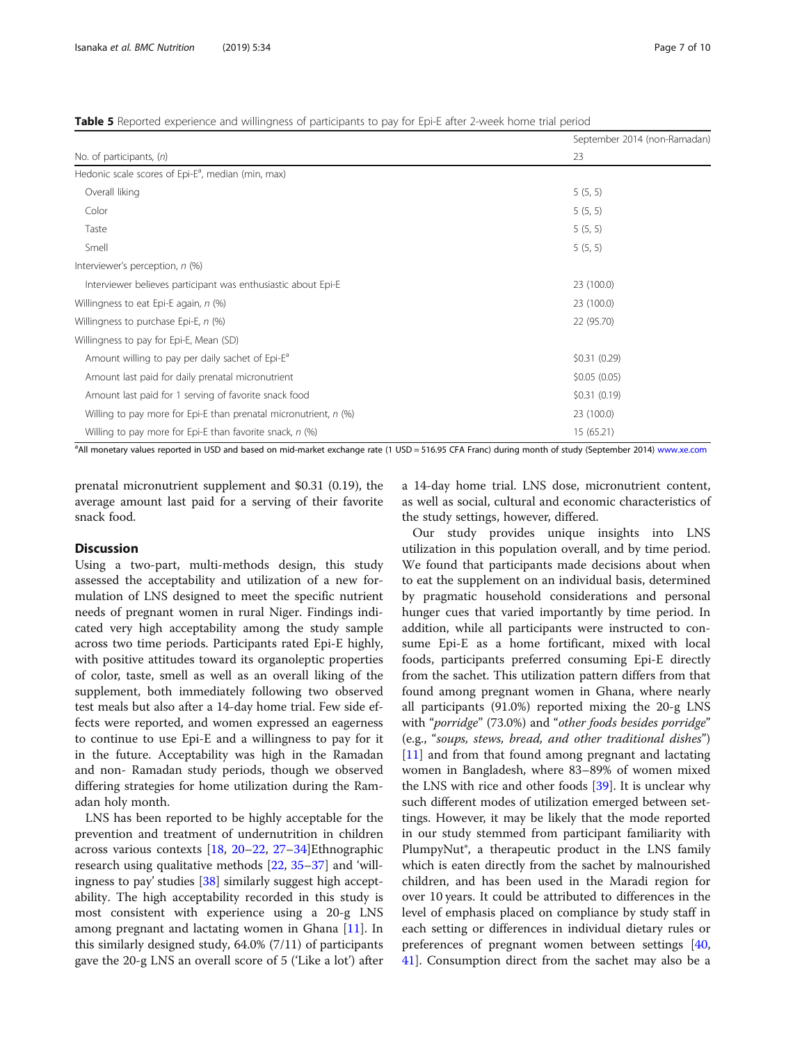<span id="page-6-0"></span>

| <b>Table 5</b> Reported experience and willingness of participants to pay for Epi-E after 2-week home trial period |  |  |  |
|--------------------------------------------------------------------------------------------------------------------|--|--|--|
|                                                                                                                    |  |  |  |

|                                                                    | September 2014 (non-Ramadan) |  |  |
|--------------------------------------------------------------------|------------------------------|--|--|
| No. of participants, $(n)$                                         | 23                           |  |  |
| Hedonic scale scores of Epi-E <sup>a</sup> , median (min, max)     |                              |  |  |
| Overall liking                                                     | 5(5, 5)                      |  |  |
| Color                                                              | 5(5, 5)                      |  |  |
| Taste                                                              | 5(5, 5)                      |  |  |
| Smell                                                              | 5(5, 5)                      |  |  |
| Interviewer's perception, n (%)                                    |                              |  |  |
| Interviewer believes participant was enthusiastic about Epi-E      | 23 (100.0)                   |  |  |
| Willingness to eat Epi-E again, n (%)                              | 23 (100.0)                   |  |  |
| Willingness to purchase Epi-E, $n$ (%)                             | 22 (95.70)                   |  |  |
| Willingness to pay for Epi-E, Mean (SD)                            |                              |  |  |
| Amount willing to pay per daily sachet of Epi-E <sup>a</sup>       | \$0.31(0.29)                 |  |  |
| Amount last paid for daily prenatal micronutrient                  | \$0.05(0.05)                 |  |  |
| Amount last paid for 1 serving of favorite snack food              | \$0.31(0.19)                 |  |  |
| Willing to pay more for Epi-E than prenatal micronutrient, $n$ (%) | 23 (100.0)                   |  |  |
| Willing to pay more for Epi-E than favorite snack, $n$ (%)         | 15(65.21)                    |  |  |

<sup>a</sup>All monetary values reported in USD and based on mid-market exchange rate (1 USD = 516.95 CFA Franc) during month of study (September 2014) [www.xe.com](http://www.xe.com)

prenatal micronutrient supplement and \$0.31 (0.19), the average amount last paid for a serving of their favorite snack food.

# **Discussion**

Using a two-part, multi-methods design, this study assessed the acceptability and utilization of a new formulation of LNS designed to meet the specific nutrient needs of pregnant women in rural Niger. Findings indicated very high acceptability among the study sample across two time periods. Participants rated Epi-E highly, with positive attitudes toward its organoleptic properties of color, taste, smell as well as an overall liking of the supplement, both immediately following two observed test meals but also after a 14-day home trial. Few side effects were reported, and women expressed an eagerness to continue to use Epi-E and a willingness to pay for it in the future. Acceptability was high in the Ramadan and non- Ramadan study periods, though we observed differing strategies for home utilization during the Ramadan holy month.

LNS has been reported to be highly acceptable for the prevention and treatment of undernutrition in children across various contexts [[18,](#page-8-0) [20](#page-8-0)–[22](#page-8-0), [27](#page-8-0)–[34\]](#page-9-0)Ethnographic research using qualitative methods [[22](#page-8-0), [35](#page-9-0)–[37](#page-9-0)] and 'willingness to pay' studies [[38\]](#page-9-0) similarly suggest high acceptability. The high acceptability recorded in this study is most consistent with experience using a 20-g LNS among pregnant and lactating women in Ghana [\[11](#page-8-0)]. In this similarly designed study, 64.0% (7/11) of participants gave the 20-g LNS an overall score of 5 ('Like a lot') after a 14-day home trial. LNS dose, micronutrient content, as well as social, cultural and economic characteristics of the study settings, however, differed.

Our study provides unique insights into LNS utilization in this population overall, and by time period. We found that participants made decisions about when to eat the supplement on an individual basis, determined by pragmatic household considerations and personal hunger cues that varied importantly by time period. In addition, while all participants were instructed to consume Epi-E as a home fortificant, mixed with local foods, participants preferred consuming Epi-E directly from the sachet. This utilization pattern differs from that found among pregnant women in Ghana, where nearly all participants (91.0%) reported mixing the 20-g LNS with "porridge" (73.0%) and "other foods besides porridge" (e.g., "soups, stews, bread, and other traditional dishes") [[11\]](#page-8-0) and from that found among pregnant and lactating women in Bangladesh, where 83–89% of women mixed the LNS with rice and other foods [[39\]](#page-9-0). It is unclear why such different modes of utilization emerged between settings. However, it may be likely that the mode reported in our study stemmed from participant familiarity with PlumpyNut®, a therapeutic product in the LNS family which is eaten directly from the sachet by malnourished children, and has been used in the Maradi region for over 10 years. It could be attributed to differences in the level of emphasis placed on compliance by study staff in each setting or differences in individual dietary rules or preferences of pregnant women between settings [[40](#page-9-0), [41\]](#page-9-0). Consumption direct from the sachet may also be a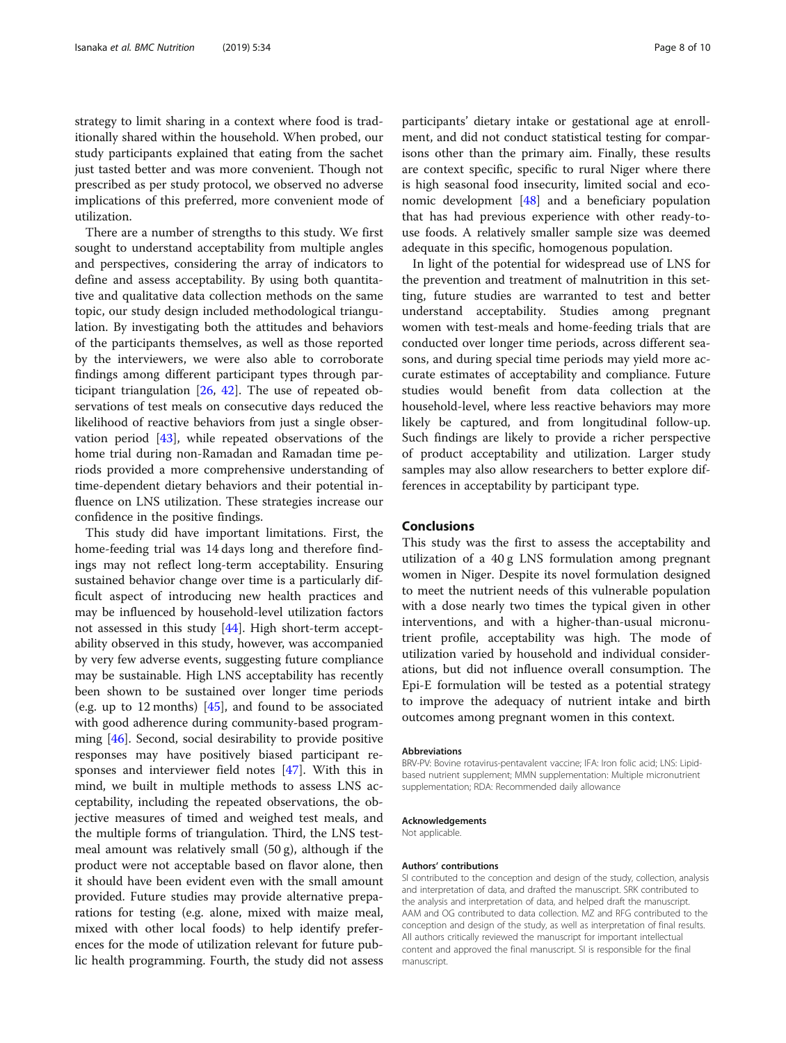strategy to limit sharing in a context where food is traditionally shared within the household. When probed, our study participants explained that eating from the sachet just tasted better and was more convenient. Though not prescribed as per study protocol, we observed no adverse implications of this preferred, more convenient mode of utilization.

There are a number of strengths to this study. We first sought to understand acceptability from multiple angles and perspectives, considering the array of indicators to define and assess acceptability. By using both quantitative and qualitative data collection methods on the same topic, our study design included methodological triangulation. By investigating both the attitudes and behaviors of the participants themselves, as well as those reported by the interviewers, we were also able to corroborate findings among different participant types through participant triangulation [[26,](#page-8-0) [42\]](#page-9-0). The use of repeated observations of test meals on consecutive days reduced the likelihood of reactive behaviors from just a single observation period [\[43](#page-9-0)], while repeated observations of the home trial during non-Ramadan and Ramadan time periods provided a more comprehensive understanding of time-dependent dietary behaviors and their potential influence on LNS utilization. These strategies increase our confidence in the positive findings.

This study did have important limitations. First, the home-feeding trial was 14 days long and therefore findings may not reflect long-term acceptability. Ensuring sustained behavior change over time is a particularly difficult aspect of introducing new health practices and may be influenced by household-level utilization factors not assessed in this study  $[44]$  $[44]$ . High short-term acceptability observed in this study, however, was accompanied by very few adverse events, suggesting future compliance may be sustainable. High LNS acceptability has recently been shown to be sustained over longer time periods (e.g. up to 12 months) [\[45](#page-9-0)], and found to be associated with good adherence during community-based programming [\[46](#page-9-0)]. Second, social desirability to provide positive responses may have positively biased participant responses and interviewer field notes [[47](#page-9-0)]. With this in mind, we built in multiple methods to assess LNS acceptability, including the repeated observations, the objective measures of timed and weighed test meals, and the multiple forms of triangulation. Third, the LNS testmeal amount was relatively small (50 g), although if the product were not acceptable based on flavor alone, then it should have been evident even with the small amount provided. Future studies may provide alternative preparations for testing (e.g. alone, mixed with maize meal, mixed with other local foods) to help identify preferences for the mode of utilization relevant for future public health programming. Fourth, the study did not assess participants' dietary intake or gestational age at enrollment, and did not conduct statistical testing for comparisons other than the primary aim. Finally, these results are context specific, specific to rural Niger where there is high seasonal food insecurity, limited social and economic development [[48\]](#page-9-0) and a beneficiary population that has had previous experience with other ready-touse foods. A relatively smaller sample size was deemed adequate in this specific, homogenous population.

In light of the potential for widespread use of LNS for the prevention and treatment of malnutrition in this setting, future studies are warranted to test and better understand acceptability. Studies among pregnant women with test-meals and home-feeding trials that are conducted over longer time periods, across different seasons, and during special time periods may yield more accurate estimates of acceptability and compliance. Future studies would benefit from data collection at the household-level, where less reactive behaviors may more likely be captured, and from longitudinal follow-up. Such findings are likely to provide a richer perspective of product acceptability and utilization. Larger study samples may also allow researchers to better explore differences in acceptability by participant type.

# Conclusions

This study was the first to assess the acceptability and utilization of a 40 g LNS formulation among pregnant women in Niger. Despite its novel formulation designed to meet the nutrient needs of this vulnerable population with a dose nearly two times the typical given in other interventions, and with a higher-than-usual micronutrient profile, acceptability was high. The mode of utilization varied by household and individual considerations, but did not influence overall consumption. The Epi-E formulation will be tested as a potential strategy to improve the adequacy of nutrient intake and birth outcomes among pregnant women in this context.

#### Abbreviations

BRV-PV: Bovine rotavirus-pentavalent vaccine; IFA: Iron folic acid; LNS: Lipidbased nutrient supplement; MMN supplementation: Multiple micronutrient supplementation; RDA: Recommended daily allowance

#### Acknowledgements

Not applicable.

#### Authors' contributions

SI contributed to the conception and design of the study, collection, analysis and interpretation of data, and drafted the manuscript. SRK contributed to the analysis and interpretation of data, and helped draft the manuscript. AAM and OG contributed to data collection. MZ and RFG contributed to the conception and design of the study, as well as interpretation of final results. All authors critically reviewed the manuscript for important intellectual content and approved the final manuscript. SI is responsible for the final manuscript.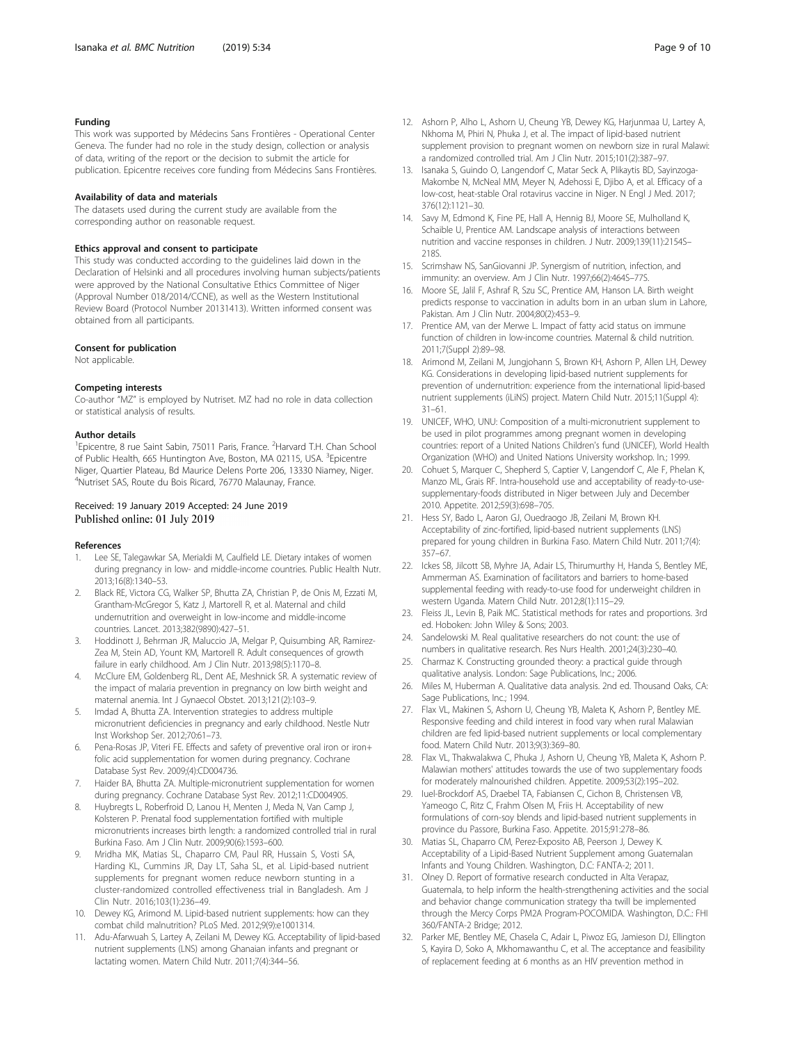# <span id="page-8-0"></span>Funding

This work was supported by Médecins Sans Frontières - Operational Center Geneva. The funder had no role in the study design, collection or analysis of data, writing of the report or the decision to submit the article for publication. Epicentre receives core funding from Médecins Sans Frontières.

#### Availability of data and materials

The datasets used during the current study are available from the corresponding author on reasonable request.

#### Ethics approval and consent to participate

This study was conducted according to the guidelines laid down in the Declaration of Helsinki and all procedures involving human subjects/patients were approved by the National Consultative Ethics Committee of Niger (Approval Number 018/2014/CCNE), as well as the Western Institutional Review Board (Protocol Number 20131413). Written informed consent was obtained from all participants.

#### Consent for publication

Not applicable.

# Competing interests

Co-author "MZ" is employed by Nutriset. MZ had no role in data collection or statistical analysis of results.

#### Author details

<sup>1</sup> Epicentre, 8 rue Saint Sabin, 75011 Paris, France. <sup>2</sup> Harvard T.H. Chan School of Public Health, 665 Huntington Ave, Boston, MA 02115, USA. <sup>3</sup>Epicentre Niger, Quartier Plateau, Bd Maurice Delens Porte 206, 13330 Niamey, Niger. 4 Nutriset SAS, Route du Bois Ricard, 76770 Malaunay, France.

# Received: 19 January 2019 Accepted: 24 June 2019 Published online: 01 July 2019

#### References

- 1. Lee SE, Talegawkar SA, Merialdi M, Caulfield LE. Dietary intakes of women during pregnancy in low- and middle-income countries. Public Health Nutr. 2013;16(8):1340–53.
- 2. Black RE, Victora CG, Walker SP, Bhutta ZA, Christian P, de Onis M, Ezzati M, Grantham-McGregor S, Katz J, Martorell R, et al. Maternal and child undernutrition and overweight in low-income and middle-income countries. Lancet. 2013;382(9890):427–51.
- 3. Hoddinott J, Behrman JR, Maluccio JA, Melgar P, Quisumbing AR, Ramirez-Zea M, Stein AD, Yount KM, Martorell R. Adult consequences of growth failure in early childhood. Am J Clin Nutr. 2013;98(5):1170–8.
- 4. McClure EM, Goldenberg RL, Dent AE, Meshnick SR. A systematic review of the impact of malaria prevention in pregnancy on low birth weight and maternal anemia. Int J Gynaecol Obstet. 2013;121(2):103–9.
- 5. Imdad A, Bhutta ZA. Intervention strategies to address multiple micronutrient deficiencies in pregnancy and early childhood. Nestle Nutr Inst Workshop Ser. 2012;70:61–73.
- Pena-Rosas JP, Viteri FE. Effects and safety of preventive oral iron or iron+ folic acid supplementation for women during pregnancy. Cochrane Database Syst Rev. 2009;(4):CD004736.
- 7. Haider BA, Bhutta ZA. Multiple-micronutrient supplementation for women during pregnancy. Cochrane Database Syst Rev. 2012;11:CD004905.
- Huybregts L, Roberfroid D, Lanou H, Menten J, Meda N, Van Camp J, Kolsteren P. Prenatal food supplementation fortified with multiple micronutrients increases birth length: a randomized controlled trial in rural Burkina Faso. Am J Clin Nutr. 2009;90(6):1593–600.
- 9. Mridha MK, Matias SL, Chaparro CM, Paul RR, Hussain S, Vosti SA, Harding KL, Cummins JR, Day LT, Saha SL, et al. Lipid-based nutrient supplements for pregnant women reduce newborn stunting in a cluster-randomized controlled effectiveness trial in Bangladesh. Am J Clin Nutr. 2016;103(1):236–49.
- 10. Dewey KG, Arimond M. Lipid-based nutrient supplements: how can they combat child malnutrition? PLoS Med. 2012;9(9):e1001314.
- 11. Adu-Afarwuah S, Lartey A, Zeilani M, Dewey KG. Acceptability of lipid-based nutrient supplements (LNS) among Ghanaian infants and pregnant or lactating women. Matern Child Nutr. 2011;7(4):344–56.
- 12. Ashorn P, Alho L, Ashorn U, Cheung YB, Dewey KG, Harjunmaa U, Lartey A, Nkhoma M, Phiri N, Phuka J, et al. The impact of lipid-based nutrient supplement provision to pregnant women on newborn size in rural Malawi: a randomized controlled trial. Am J Clin Nutr. 2015;101(2):387–97.
- 13. Isanaka S, Guindo O, Langendorf C, Matar Seck A, Plikaytis BD, Sayinzoga-Makombe N, McNeal MM, Meyer N, Adehossi E, Djibo A, et al. Efficacy of a low-cost, heat-stable Oral rotavirus vaccine in Niger. N Engl J Med. 2017; 376(12):1121–30.
- 14. Savy M, Edmond K, Fine PE, Hall A, Hennig BJ, Moore SE, Mulholland K, Schaible U, Prentice AM. Landscape analysis of interactions between nutrition and vaccine responses in children. J Nutr. 2009;139(11):2154S– 218S.
- 15. Scrimshaw NS, SanGiovanni JP. Synergism of nutrition, infection, and immunity: an overview. Am J Clin Nutr. 1997;66(2):464S–77S.
- 16. Moore SE, Jalil F, Ashraf R, Szu SC, Prentice AM, Hanson LA. Birth weight predicts response to vaccination in adults born in an urban slum in Lahore, Pakistan. Am J Clin Nutr. 2004;80(2):453–9.
- 17. Prentice AM, van der Merwe L. Impact of fatty acid status on immune function of children in low-income countries. Maternal & child nutrition. 2011;7(Suppl 2):89–98.
- 18. Arimond M, Zeilani M, Jungjohann S, Brown KH, Ashorn P, Allen LH, Dewey KG. Considerations in developing lipid-based nutrient supplements for prevention of undernutrition: experience from the international lipid-based nutrient supplements (iLiNS) project. Matern Child Nutr. 2015;11(Suppl 4): 31–61.
- 19. UNICEF, WHO, UNU: Composition of a multi-micronutrient supplement to be used in pilot programmes among pregnant women in developing countries: report of a United Nations Children's fund (UNICEF), World Health Organization (WHO) and United Nations University workshop. In.; 1999.
- 20. Cohuet S, Marquer C, Shepherd S, Captier V, Langendorf C, Ale F, Phelan K, Manzo ML, Grais RF. Intra-household use and acceptability of ready-to-usesupplementary-foods distributed in Niger between July and December 2010. Appetite. 2012;59(3):698–705.
- 21. Hess SY, Bado L, Aaron GJ, Ouedraogo JB, Zeilani M, Brown KH. Acceptability of zinc-fortified, lipid-based nutrient supplements (LNS) prepared for young children in Burkina Faso. Matern Child Nutr. 2011;7(4): 357–67.
- 22. Ickes SB, Jilcott SB, Myhre JA, Adair LS, Thirumurthy H, Handa S, Bentley ME, Ammerman AS. Examination of facilitators and barriers to home-based supplemental feeding with ready-to-use food for underweight children in western Uganda. Matern Child Nutr. 2012;8(1):115–29.
- 23. Fleiss JL, Levin B, Paik MC. Statistical methods for rates and proportions. 3rd ed. Hoboken: John Wiley & Sons; 2003.
- 24. Sandelowski M. Real qualitative researchers do not count: the use of numbers in qualitative research. Res Nurs Health. 2001;24(3):230–40.
- 25. Charmaz K. Constructing grounded theory: a practical guide through qualitative analysis. London: Sage Publications, Inc.; 2006.
- 26. Miles M, Huberman A. Qualitative data analysis. 2nd ed. Thousand Oaks, CA: Sage Publications, Inc.; 1994.
- 27. Flax VL, Makinen S, Ashorn U, Cheung YB, Maleta K, Ashorn P, Bentley ME. Responsive feeding and child interest in food vary when rural Malawian children are fed lipid-based nutrient supplements or local complementary food. Matern Child Nutr. 2013;9(3):369–80.
- 28. Flax VL, Thakwalakwa C, Phuka J, Ashorn U, Cheung YB, Maleta K, Ashorn P. Malawian mothers' attitudes towards the use of two supplementary foods for moderately malnourished children. Appetite. 2009;53(2):195–202.
- 29. Iuel-Brockdorf AS, Draebel TA, Fabiansen C, Cichon B, Christensen VB, Yameogo C, Ritz C, Frahm Olsen M, Friis H. Acceptability of new formulations of corn-soy blends and lipid-based nutrient supplements in province du Passore, Burkina Faso. Appetite. 2015;91:278–86.
- 30. Matias SL, Chaparro CM, Perez-Exposito AB, Peerson J, Dewey K. Acceptability of a Lipid-Based Nutrient Supplement among Guatemalan Infants and Young Children. Washington, D.C: FANTA-2; 2011.
- 31. Olney D. Report of formative research conducted in Alta Verapaz, Guatemala, to help inform the health-strengthening activities and the social and behavior change communication strategy tha twill be implemented through the Mercy Corps PM2A Program-POCOMIDA. Washington, D.C.: FHI 360/FANTA-2 Bridge; 2012.
- 32. Parker ME, Bentley ME, Chasela C, Adair L, Piwoz EG, Jamieson DJ, Ellington S, Kayira D, Soko A, Mkhomawanthu C, et al. The acceptance and feasibility of replacement feeding at 6 months as an HIV prevention method in